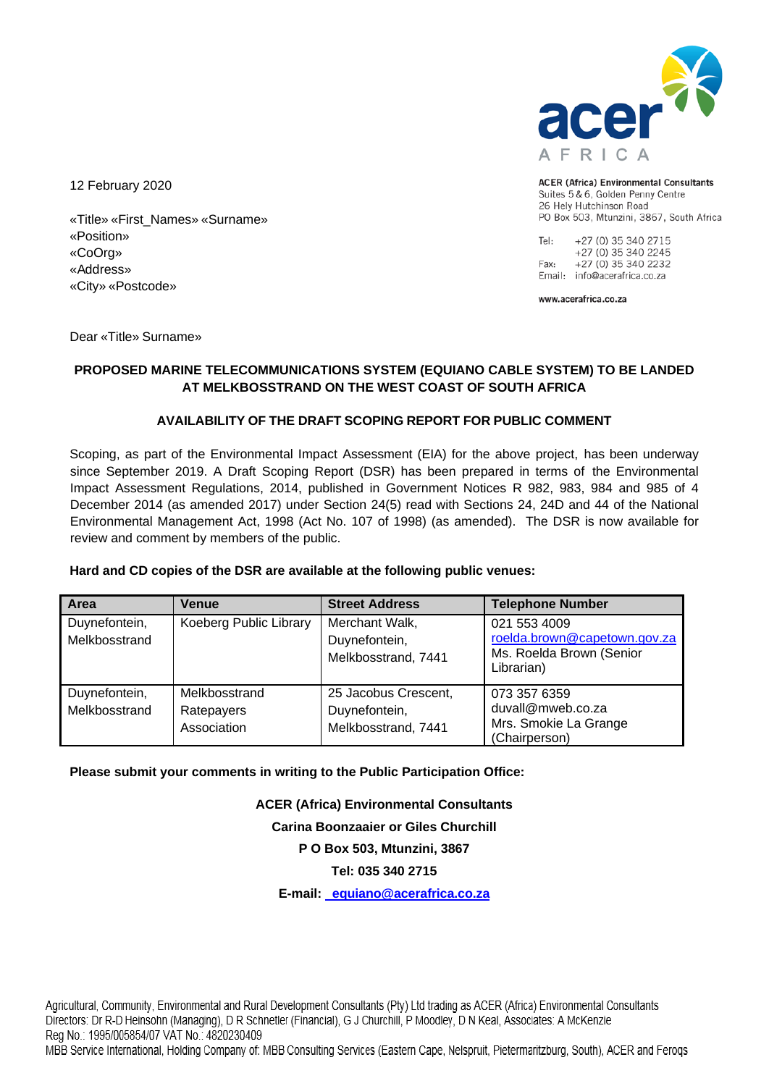

**ACER (Africa) Environmental Consultants** Suites 5 & 6, Golden Penny Centre 26 Hely Hutchinson Road PO Box 503, Mtunzini, 3867, South Africa

Tel: +27 (0) 35 340 2715 +27 (0) 35 340 2245 +27 (0) 35 340 2232 Fax: Email: info@acerafrica.co.za

www.acerafrica.co.za

12 February 2020

«Title» «First\_Names» «Surname» «Position» «CoOrg» «Address» «City» «Postcode»

Dear «Title» Surname»

# **PROPOSED MARINE TELECOMMUNICATIONS SYSTEM (EQUIANO CABLE SYSTEM) TO BE LANDED AT MELKBOSSTRAND ON THE WEST COAST OF SOUTH AFRICA**

# **AVAILABILITY OF THE DRAFT SCOPING REPORT FOR PUBLIC COMMENT**

Scoping, as part of the Environmental Impact Assessment (EIA) for the above project, has been underway since September 2019. A Draft Scoping Report (DSR) has been prepared in terms of the Environmental Impact Assessment Regulations, 2014, published in Government Notices R 982, 983, 984 and 985 of 4 December 2014 (as amended 2017) under Section 24(5) read with Sections 24, 24D and 44 of the National Environmental Management Act, 1998 (Act No. 107 of 1998) (as amended). The DSR is now available for review and comment by members of the public.

### **Hard and CD copies of the DSR are available at the following public venues:**

| Area                           | <b>Venue</b>                               | <b>Street Address</b>                                        | <b>Telephone Number</b>                                                                |
|--------------------------------|--------------------------------------------|--------------------------------------------------------------|----------------------------------------------------------------------------------------|
| Duynefontein,<br>Melkbosstrand | Koeberg Public Library                     | Merchant Walk,<br>Duynefontein,<br>Melkbosstrand, 7441       | 021 553 4009<br>roelda.brown@capetown.gov.za<br>Ms. Roelda Brown (Senior<br>Librarian) |
| Duynefontein,<br>Melkbosstrand | Melkbosstrand<br>Ratepayers<br>Association | 25 Jacobus Crescent,<br>Duynefontein,<br>Melkbosstrand, 7441 | 073 357 6359<br>duvall@mweb.co.za<br>Mrs. Smokie La Grange<br>(Chairperson)            |

**Please submit your comments in writing to the Public Participation Office:**

**ACER (Africa) Environmental Consultants Carina Boonzaaier or Giles Churchill P O Box 503, Mtunzini, 3867 Tel: 035 340 2715** 

**E-mail: [equiano@acerafrica.co.za](mailto:equiano@acerafrica.co.za)**

Agricultural, Community, Environmental and Rural Development Consultants (Pty) Ltd trading as ACER (Africa) Environmental Consultants Directors: Dr R-D Heinsohn (Managing), D R Schnetler (Financial), G J Churchill, P Moodley, D N Keal, Associates: A McKenzie Reg No.: 1995/005854/07 VAT No.: 4820230409 MBB Service International, Holding Company of: MBB Consulting Services (Eastern Cape, Nelspruit, Pietermaritzburg, South), ACER and Ferogs